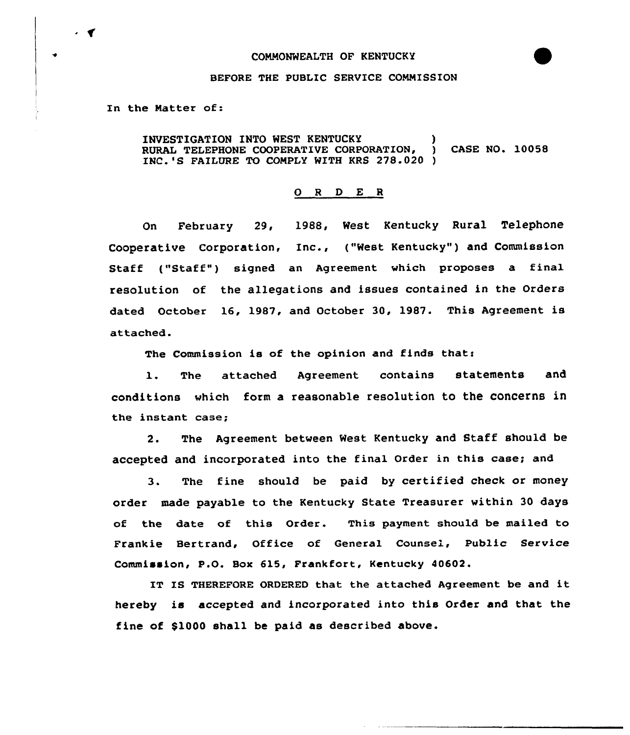#### COMMONWEALTH OF KENTUCKY



#### BEFORE THE PUBLIC SERVICE COMMISSION

In the Natter of:

INVESTIGATION INTO WEST KENTUCKY ) RURAL TELEPHONE COOPERATIVE CORPORATION, ) CASE NO. 10058 INC.'S FAILURE TO COMPLY WITH KRS 278.020 )

## 0 <sup>R</sup> <sup>D</sup> E <sup>R</sup>

On February 29, 1988, West Kentucky Rural Telephone Cooperative Corporation, Inc., ("West Kentucky") and Commission Staff ("Staff") signed an Agreement which proposes a final resolution of the allegations and issues contained in the Orders dated October 16, 1987, and October 30, 1987. This Agreement is attached.

The Commission is of the opinion and finds that:

1. The attached Agreement contains statem<mark>ents an</mark>d conditions which form a reasonable resolution to the concerns in the instant case;

2. The Agreement between West Kentucky and Staff should be accepted and incorporated into the final Order in this case; and

3. The fine should be paid by certified check or money order made payable to the Kentucky State Treasurer within 30 days of the date of this Order. This payment should be mailed to Frankie Bertrand, Office of General Counsel, Public Service Commission, P.O. Box 615, Frankfort, Kentucky 40602.

IT IS THEREFORE ORDERED that the attached Agreement be and it hereby is accepted and incorporated into this Order and that the fine of \$1000 shall be paid as described above.

 $\cdot$   $\cdot$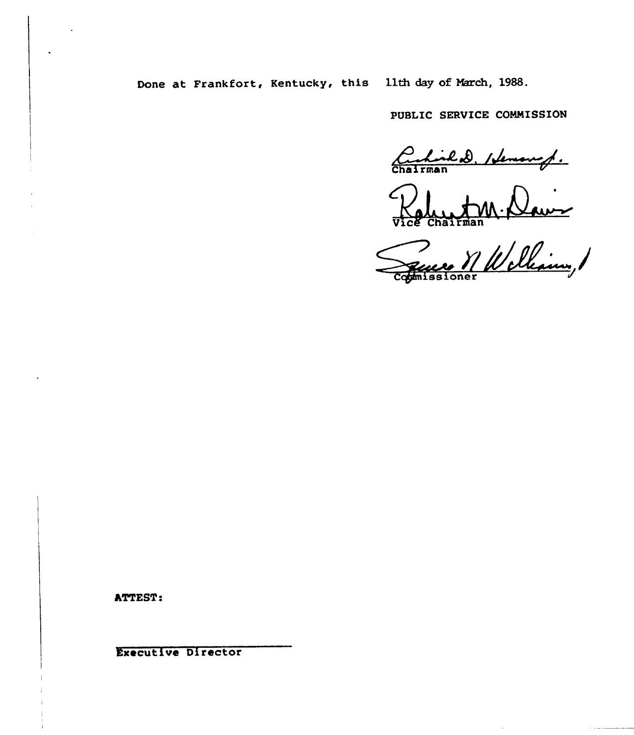Done at Frankfort, Kentucky, this 11th day of March, 1988.

PUBLIC SERVICE COMMISSION

Curlisled, Henough.

 $\mathbf{r}$ 

M Welliam, 1

**ATTEST:** 

**Executive Director**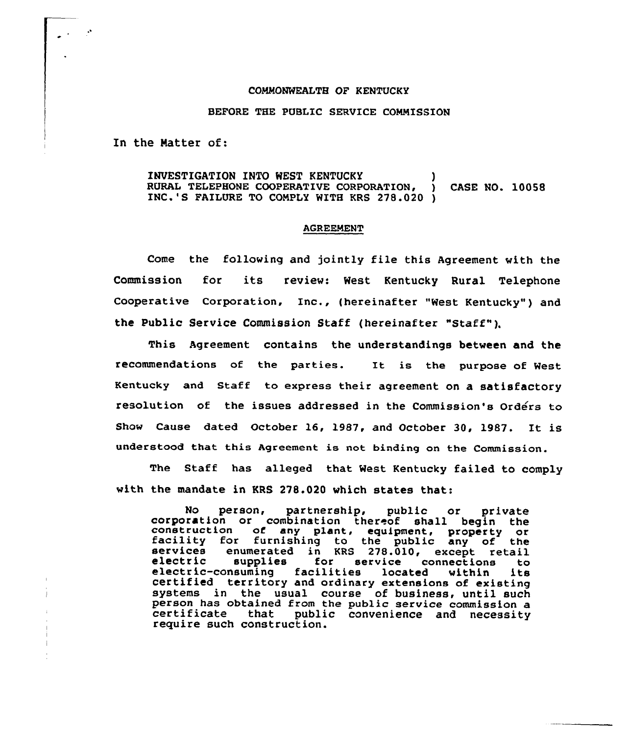#### COMMONWEALTH OF KENTUCKY

### BEFORE THE PUBLIC SERVICE COMMISSION

In the Natter of:

# INVESTIGATION INTO WEST KENTUCKY (1997) RURAL TELEPHONE COOPERATIVE CORPORATION, ) CASE NO. 10058<br>INC.'S FAILURE TO COMPLY WITH KRS 278.020 )

#### AGREEMENT

Come the following and jointly file this Agreement with the Commission for its review: West Kentucky Rural Telephone Cooperative Corporation, Inc., {hereinafter "West Kentucky" ) and the public Service Commission Staff (hereinafter "staff" ).

This Agreement contains the understandings between and the recommendatians of the parties. It is the purpose of West Kentucky and Staff to express their agreement on a satisfactory resolution of the issues addressed in the Commission's Orders to Show Cause dated October 16, 1987, and October 30, 1987. It is understood that this Agreement is not binding on the Commission.

The Staff has alleged that West Kentucky failed to comply with the mandate in KRS 278.020 which states that:

No person, partnership, public or private<br>corporation or combination thereof shall begin the<br>construction of any plant, equipment, property or<br>facility for furnishing to the public any of the<br>services enumerated in KRS 278 systems in the usual course of business, until such person has obtained from the public service commission a person has obtained from the public service commission<br>certificate that public convenience and necessit<br>require such construction.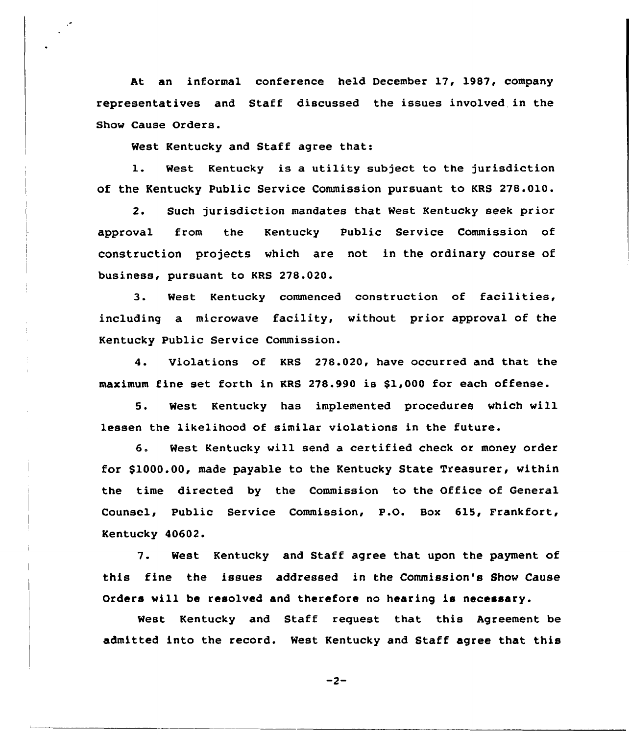At an informal conference held December 17, 1987, company representatives and Staff discussed the issues involved in the Show Cause Orders.

West Kentucky and Staff agree that:

1. West Kentucky is <sup>a</sup> utility subject to the jurisdiction of the Kentucky Public Service Commission pursuant to KRS 278.010.

2. Such jurisdiction mandates that West Kentucky seek prior approval from the Kentucky Public Service Commission of construction projects which are not in the ordinary course of business, pursuant to KRS 278.020.

3. West Kentucky commenced construction of facilities, including a microwave facility, without prior approval of the Kentucky Public Service Commission.

4. Violations of KRS 278.020, have occurred and that the maximum fine set forth in KRS 278.990 is \$1,000 for each offense.

5. West Kentucky has implemented procedures which will lessen the likelihood of similar violations in the future.

6. West Kentucky will send <sup>a</sup> certified check or money order for \$1000.00, made payable to the Kentucky State Treasurer, within the time directed by the Commission to the Office of General Counsel, Public Service Commission, P.O. Box 615, Frankfort, Kentucky 40602.

7. West Kentucky and Staff agree that upon the payment of this fine the issues addressed in the Commission's Show Cause Orders will be resolved and therefore no hearing is necessary.

West Kentucky and Staff request that this Agreement be admitted into the record. West Kentucky and Staff agree that this

 $-2-$